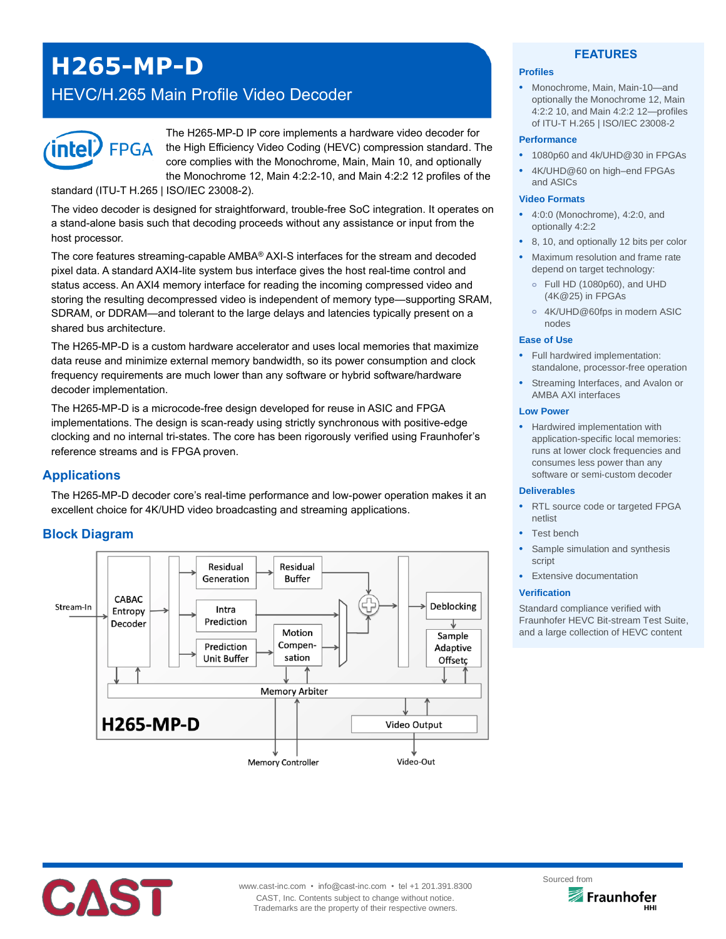# **H265-MP-D**

## HEVC/H.265 Main Profile Video Decoder



The H265-MP-D IP core implements a hardware video decoder for the High Efficiency Video Coding (HEVC) compression standard. The core complies with the Monochrome, Main, Main 10, and optionally the Monochrome 12, Main 4:2:2-10, and Main 4:2:2 12 profiles of the

standard (ITU-T H.265 | ISO/IEC 23008-2).

The video decoder is designed for straightforward, trouble-free SoC integration. It operates on a stand-alone basis such that decoding proceeds without any assistance or input from the host processor.

The core features streaming-capable AMBA® AXI-S interfaces for the stream and decoded pixel data. A standard AXI4-lite system bus interface gives the host real-time control and status access. An AXI4 memory interface for reading the incoming compressed video and storing the resulting decompressed video is independent of memory type—supporting SRAM, SDRAM, or DDRAM—and tolerant to the large delays and latencies typically present on a shared bus architecture.

The H265-MP-D is a custom hardware accelerator and uses local memories that maximize data reuse and minimize external memory bandwidth, so its power consumption and clock frequency requirements are much lower than any software or hybrid software/hardware decoder implementation.

The H265-MP-D is a microcode-free design developed for reuse in ASIC and FPGA implementations. The design is scan-ready using strictly synchronous with positive-edge clocking and no internal tri-states. The core has been rigorously verified using Fraunhofer's reference streams and is FPGA proven.

## **Applications**

The H265-MP-D decoder core's real-time performance and low-power operation makes it an excellent choice for 4K/UHD video broadcasting and streaming applications.

## **Block Diagram**



#### **FEATURES**

#### **Profiles**

• Monochrome, Main, Main-10—and optionally the Monochrome 12, Main 4:2:2 10, and Main 4:2:2 12—profiles of ITU-T H.265 | ISO/IEC 23008-2

#### **Performance**

- 1080p60 and 4k/UHD@30 in FPGAs
- 4K/UHD@60 on high–end FPGAs and ASICs

#### **Video Formats**

- 4:0:0 (Monochrome), 4:2:0, and optionally 4:2:2
- 8, 10, and optionally 12 bits per color
- Maximum resolution and frame rate depend on target technology:
	- **o** Full HD (1080p60), and UHD (4K@25) in FPGAs
	- **o** 4K/UHD@60fps in modern ASIC nodes

#### **Ease of Use**

- Full hardwired implementation: standalone, processor-free operation
- Streaming Interfaces, and Avalon or AMBA AXI interfaces

#### **Low Power**

• Hardwired implementation with application-specific local memories: runs at lower clock frequencies and consumes less power than any software or semi-custom decoder

#### **Deliverables**

- RTL source code or targeted FPGA netlist
- Test bench
- Sample simulation and synthesis script
- **Extensive documentation**

#### **Verification**

Standard compliance verified with Fraunhofer HEVC Bit-stream Test Suite, and a large collection of HEVC content